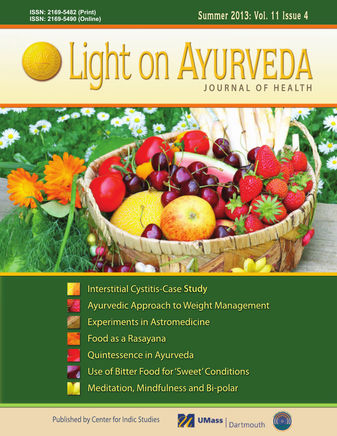



**Interstitial Cystitis-Case Study Ayurvedic Approach to Weight Management Experiments in Astromedicine** Food as a Rasayana Quintessence in Ayurveda Use of Bitter Food for 'Sweet' Conditions Meditation, Mindfulness and Bi-polar

**Published by Center for Indic Studies** 



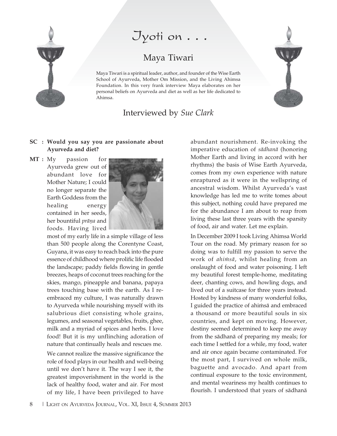

# $J$ yoti on  $\ldots$

## Maya Tiwari

Maya Tiwari is a spiritual leader, author, and founder of the Wise Earth School of Ayurveda, Mother Om Mission, and the Living Ahimsa Foundation. In this very frank interview Maya elaborates on her personal beliefs on Ayurveda and diet as well as her life dedicated to Ahimsa.

### Interviewed by Sue Clark

#### SC : Would you say you are passionate about Ayurveda and diet?

 $MT : My$ passion for Ayurveda grew out of abundant love for Mother Nature; I could no longer separate the Earth Goddess from the healing energy contained in her seeds, her bountiful *prāņa* and foods. Having lived



most of my early life in a simple village of less than 500 people along the Corentyne Coast, Guyana, it was easy to reach back into the pure essence of childhood where prolific life flooded the landscape; paddy fields flowing in gentle breezes, heaps of coconut trees reaching for the skies, mango, pineapple and banana, papaya trees touching base with the earth. As I reembraced my culture, I was naturally drawn to Ayurveda while nourishing myself with its salubrious diet consisting whole grains, legumes, and seasonal vegetables, fruits, ghee, milk and a myriad of spices and herbs. I love food! But it is my unflinching adoration of nature that continually heals and rescues me.

We cannot realize the massive significance the role of food plays in our health and well-being until we don't have it. The way I see it, the greatest impoverishment in the world is the lack of healthy food, water and air. For most of my life, I have been privileged to have

abundant nourishment. Re-invoking the imperative education of sādhanā (honoring Mother Earth and living in accord with her rhythms) the basis of Wise Earth Ayurveda, comes from my own experience with nature enraptured as it were in the wellspring of ancestral wisdom. Whilst Ayurveda's vast knowledge has led me to write tomes about this subject, nothing could have prepared me for the abundance I am about to reap from living these last three years with the sparsity of food, air and water. Let me explain.

In December 2009 I took Living Ahimsa World Tour on the road. My primary reason for so doing was to fulfill my passion to serve the work of *ahimsā*, whilst healing from an onslaught of food and water poisoning. I left my beautiful forest temple-home, meditating deer, chanting cows, and howling dogs, and lived out of a suitcase for three years instead. Hosted by kindness of many wonderful folks, I guided the practice of ahimsa and embraced a thousand or more beautiful souls in six countries, and kept on moving. However, destiny seemed determined to keep me away from the sādhanā of preparing my meals; for each time I settled for a while, my food, water and air once again became contaminated. For the most part, I survived on whole milk, baguette and avocado. And apart from continual exposure to the toxic environment, and mental weariness my health continues to flourish. I understood that years of sādhanā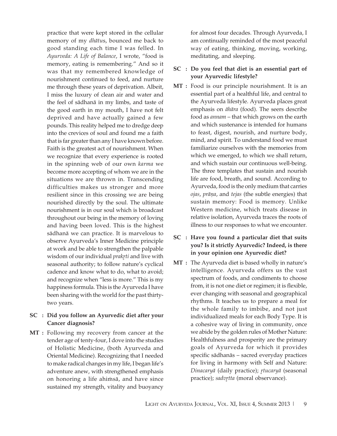practice that were kept stored in the cellular memory of my dhātus, bounced me back to good standing each time I was felled. In Ayurveda: A Life of Balance, I wrote, "food is memory, eating is remembering." And so it was that my remembered knowledge of nourishment continued to feed, and nurture me through these years of deprivation. Albeit, I miss the luxury of clean air and water and the feel of sādhanā in my limbs, and taste of the good earth in my mouth, I have not felt deprived and have actually gained a few pounds. This reality helped me to dredge deep into the crevices of soul and found me a faith that is far greater than any I have known before. Faith is the greatest act of nourishment. When we recognize that every experience is rooted in the spinning web of our own karma we become more accepting of whom we are in the situations we are thrown in. Transcending difficulties makes us stronger and more resilient since in this crossing we are being nourished directly by the soul. The ultimate nourishment is in our soul which is broadcast throughout our being in the memory of loving and having been loved. This is the highest sādhanā we can practice. It is marvelous to observe Ayurveda's Inner Medicine principle at work and be able to strengthen the palpable wisdom of our individual prakrti and live with seasonal authority; to follow nature's cyclical cadence and know what to do, what to avoid; and recognize when "less is more." This is my happiness formula. This is the Ayurveda I have been sharing with the world for the past thirtytwo years.

#### SC : Did you follow an Ayurvedic diet after your Cancer diagnosis?

MT : Following my recovery from cancer at the tender age of tenty-four, I dove into the studies of Holistic Medicine, (both Ayurveda and Oriental Medicine). Recognizing that I needed to make radical changes in my life, I began life's adventure anew, with strengthened emphasis on honoring a life ahimsa, and have since sustained my strength, vitality and buoyancy for almost four decades. Through Ayurveda, I am continually reminded of the most peaceful way of eating, thinking, moving, working, meditating, and sleeping.

#### SC : Do you feel that diet is an essential part of your Ayurvedic lifestyle?

- MT : Food is our principle nourishment. It is an essential part of a healthful life, and central to the Ayurveda lifestyle. Ayurveda places great emphasis on *āhāra* (food). The seers describe food as *annam* – that which grows on the earth and which sustenance is intended for humans to feast, digest, nourish, and nurture body, mind, and spirit. To understand food we must familiarize ourselves with the memories from which we emerged, to which we shall return, and which sustain our continuous well-being. The three templates that sustain and nourish life are food, breath, and sound. According to Ayurveda, food is the only medium that carries ojas, prāņa, and tejas (the subtle energies) that sustain memory: Food is memory. Unlike Western medicine, which treats disease in relative isolation, Ayurveda traces the roots of illness to our responses to what we encounter.
- SC : Have you found a particular diet that suits you? Is it strictly Ayurvedic? Indeed, is there in your opinion one Ayurvedic diet?
- MT : The Ayurveda diet is based wholly in nature's intelligence. Ayurveda offers us the vast spectrum of foods, and condiments to choose from, it is not one diet or regimen; it is flexible, ever changing with seasonal and geographical rhythms. It teaches us to prepare a meal for the whole family to imbibe, and not just individualized meals for each Body Type. It is a cohesive way of living in community, once we abide by the golden rules of Mother Nature: Healthfulness and prosperity are the primary goals of Ayurveda for which it provides specific sādhanās - sacred everyday practices for living in harmony with Self and Nature: Dinacaryā (daily practice); rtucaryā (seasonal practice); sadvrtta (moral observance).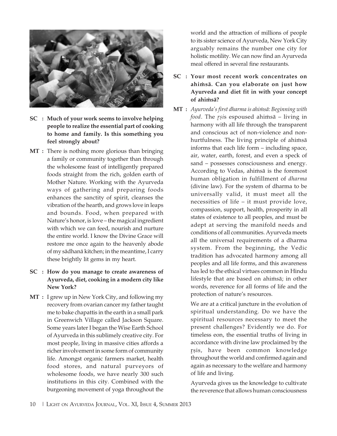

- SC : Much of your work seems to involve helping people to realize the essential part of cooking to home and family. Is this something you feel strongly about?
- MT : There is nothing more glorious than bringing a family or community together than through the wholesome feast of intelligently prepared foods straight from the rich, golden earth of Mother Nature. Working with the Ayurveda ways of gathering and preparing foods enhances the sanctity of spirit, cleanses the vibration of the hearth, and grows love in leaps and bounds. Food, when prepared with Nature's honor, is love - the magical ingredient with which we can feed, nourish and nurture the entire world. I know the Divine Grace will restore me once again to the heavenly abode of my sādhanā kitchen; in the meantime, I carry these brightly lit gems in my heart.
- SC : How do you manage to create awareness of Ayurveda, diet, cooking in a modern city like New York?
- MT : I grew up in New York City, and following my recovery from ovarian cancer my father taught me to bake chapattis in the earth in a small park in Greenwich Village called Jackson Square. Some years later I began the Wise Earth School of Ayurveda in this sublimely creative city. For most people, living in massive cities affords a richer involvement in some form of community life. Amongst organic farmers market, health food stores, and natural purveyors of wholesome foods, we have nearly 300 such institutions in this city. Combined with the burgeoning movement of yoga throughout the

world and the attraction of millions of people to its sister science of Ayurveda, New York City arguably remains the number one city for holistic motility. We can now find an Ayurveda meal offered in several fine restaurants.

- SC : Your most recent work concentrates on ahimsā. Can you elaborate on just how Ayurveda and diet fit in with your concept of ahimsa?
- MT : Ayurveda's first dharma is ahimsā: Beginning with food. The rsis espoused ahimsā - living in harmony with all life through the transparent and conscious act of non-violence and nonhurtfulness. The living principle of ahimsā informs that each life form - including space, air, water, earth, forest, and even a speck of sand - possesses consciousness and energy. According to Vedas, ahimsa is the foremost human obligation in fulfillment of dharma (divine law). For the system of dharma to be universally valid, it must meet all the necessities of life – it must provide love, compassion, support, health, prosperity in all states of existence to all peoples, and must be adept at serving the manifold needs and conditions of all communities. Ayurveda meets all the universal requirements of a dharma system. From the beginning, the Vedic tradition has advocated harmony among all peoples and all life forms, and this awareness has led to the ethical virtues common in Hindu lifestyle that are based on ahimsā; in other words, reverence for all forms of life and the protection of nature's resources.

We are at a critical juncture in the evolution of spiritual understanding. Do we have the spiritual resources necessary to meet the present challenges? Evidently we do. For timeless eon, the essential truths of living in accordance with divine law proclaimed by the rsis, have been common knowledge throughout the world and confirmed again and again as necessary to the welfare and harmony of life and living.

Ayurveda gives us the knowledge to cultivate the reverence that allows human consciousness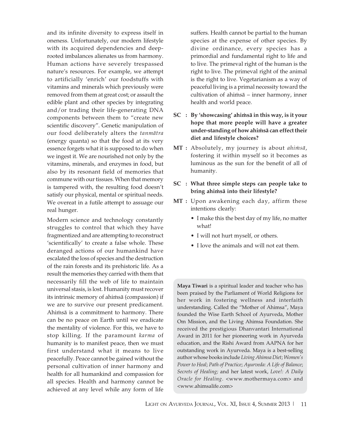and its infinite diversity to express itself in oneness. Unfortunately, our modern lifestyle with its acquired dependencies and deeprooted imbalances alienates us from harmony. Human actions have severely trespassed nature's resources. For example, we attempt to artificially 'enrich' our foodstuffs with vitamins and minerals which previously were removed from them at great cost; or assault the edible plant and other species by integrating and/or trading their life-generating DNA components between them to "create new scientific discovery". Genetic manipulation of our food deliberately alters the tanmātra (energy quanta) so that the food at its very essence forgets what it is supposed to do when we ingest it. We are nourished not only by the vitamins, minerals, and enzymes in food, but also by its resonant field of memories that commune with our tissues. When that memory is tampered with, the resulting food doesn't satisfy our physical, mental or spiritual needs. We overeat in a futile attempt to assuage our real hunger.

Modern science and technology constantly struggles to control that which they have fragmentized and are attempting to reconstruct 'scientifically' to create a false whole. These deranged actions of our humankind have escalated the loss of species and the destruction of the rain forests and its prehistoric life. As a result the memories they carried with them that necessarily fill the web of life to maintain universal stasis, is lost. Humanity must recover its intrinsic memory of ahimsā (compassion) if we are to survive our present predicament. Ahimsā is a commitment to harmony. There can be no peace on Earth until we eradicate the mentality of violence. For this, we have to stop killing. If the paramount karma of humanity is to manifest peace, then we must first understand what it means to live peacefully. Peace cannot be gained without the personal cultivation of inner harmony and health for all humankind and compassion for all species. Health and harmony cannot be achieved at any level while any form of life

suffers. Health cannot be partial to the human species at the expense of other species. By divine ordinance, every species has a primordial and fundamental right to life and to live. The primeval right of the human is the right to live. The primeval right of the animal is the right to live. Vegetarianism as a way of peaceful living is a primal necessity toward the cultivation of ahimsā - inner harmony, inner health and world peace.

- SC : By 'showcasing' ahimsa in this way, is it your hope that more people will have a greater under-standing of how ahimsa can effect their diet and lifestyle choices?
- MT : Absolutely, my journey is about *ahimsā*, fostering it within myself so it becomes as luminous as the sun for the benefit of all of humanity.
- SC : What three simple steps can people take to bring ahimsā into their lifestyle?
- MT : Upon awakening each day, affirm these intentions clearly:
	- I make this the best day of my life, no matter what!
	- I will not hurt myself, or others.
	- I love the animals and will not eat them.

**Maya Tiwari** is a spiritual leader and teacher who has been praised by the Parliament of World Religions for her work in fostering wellness and interfaith understanding. Called the "Mother of Ahimsa", Maya founded the Wise Earth School of Ayurveda, Mother Om Mission, and the Living Ahimsa Foundation. She received the prestigious Dhanvantari International Award in 2011 for her pioneering work in Ayurveda education, and the Rishi Award from AAPNA for her outstanding work in Ayurveda. Maya is a best-selling author whose books include Living Ahimsa Diet; Women's Power to Heal; Path of Practice; Ayurveda: A Life of Balance; Secrets of Healing; and her latest work, Love!: A Daily Oracle for Healing. <www.mothermaya.com> and <www.ahimsalife.com>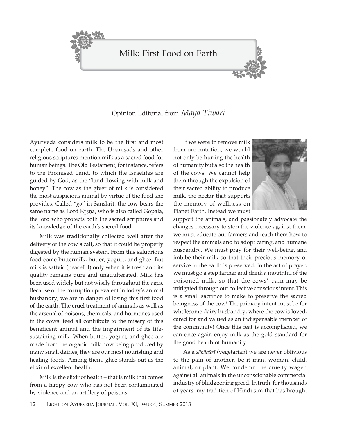



#### Opinion Editorial from Maya Tiwari

Ayurveda considers milk to be the first and most complete food on earth. The Upanisads and other religious scriptures mention milk as a sacred food for human beings. The Old Testament, for instance, refers to the Promised Land, to which the Israelites are guided by God, as the "land flowing with milk and honey". The cow as the giver of milk is considered the most auspicious animal by virtue of the food she provides. Called "go" in Sanskrit, the cow bears the same name as Lord Krsna, who is also called Gopāla, the lord who protects both the sacred scriptures and its knowledge of the earth's sacred food.

Milk was traditionally collected well after the delivery of the cow's calf, so that it could be properly digested by the human system. From this salubrious food come buttermilk, butter, yogurt, and ghee. But milk is sattvic (peaceful) only when it is fresh and its quality remains pure and unadulterated. Milk has been used widely but not wisely throughout the ages. Because of the corruption prevalent in today's animal husbandry, we are in danger of losing this first food of the earth. The cruel treatment of animals as well as the arsenal of poisons, chemicals, and hormones used in the cows' feed all contribute to the misery of this beneficent animal and the impairment of its lifesustaining milk. When butter, yogurt, and ghee are made from the organic milk now being produced by many small dairies, they are our most nourishing and healing foods. Among them, ghee stands out as the elixir of excellent health.

Milk is the elixir of health – that is milk that comes from a happy cow who has not been contaminated by violence and an artillery of poisons.

If we were to remove milk from our nutrition, we would not only be hurting the health of humanity but also the health of the cows. We cannot help them through the expulsion of their sacred ability to produce milk, the nectar that supports the memory of wellness on Planet Earth, Instead we must



support the animals, and passionately advocate the changes necessary to stop the violence against them, we must educate our farmers and teach them how to respect the animals and to adopt caring, and humane husbandry. We must pray for their well-being, and imbibe their milk so that their precious memory of service to the earth is preserved. In the act of prayer, we must go a step farther and drink a mouthful of the poisoned milk, so that the cows' pain may be mitigated through our collective conscious intent. This is a small sacrifice to make to preserve the sacred beingness of the cow! The primary intent must be for wholesome dairy husbandry, where the cow is loved, cared for and valued as an indispensable member of the community! Once this feat is accomplished, we can once again enjoy milk as the gold standard for the good health of humanity.

As a śākāhārī (vegetarian) we are never oblivious to the pain of another, be it man, woman, child, animal, or plant. We condemn the cruelty waged against all animals in the unconscionable commercial industry of bludgeoning greed. In truth, for thousands of years, my tradition of Hindusim that has brought